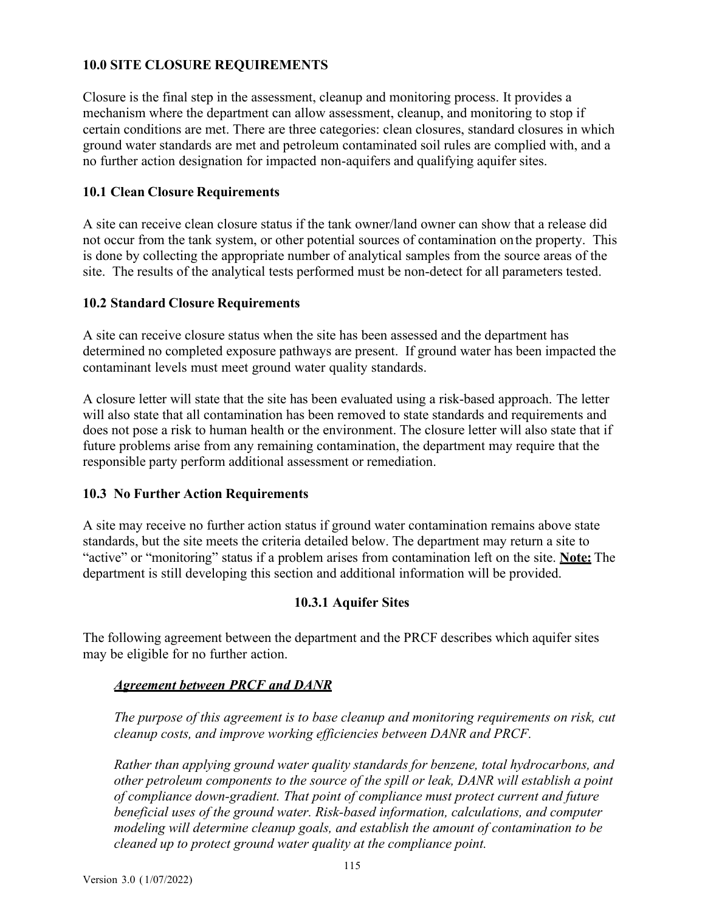# **10.0 SITE CLOSURE REQUIREMENTS**

Closure is the final step in the assessment, cleanup and monitoring process. It provides a mechanism where the department can allow assessment, cleanup, and monitoring to stop if certain conditions are met. There are three categories: clean closures, standard closures in which ground water standards are met and petroleum contaminated soil rules are complied with, and a no further action designation for impacted non-aquifers and qualifying aquifer sites.

#### **10.1 Clean Closure Requirements**

A site can receive clean closure status if the tank owner/land owner can show that a release did not occur from the tank system, or other potential sources of contamination onthe property. This is done by collecting the appropriate number of analytical samples from the source areas of the site. The results of the analytical tests performed must be non-detect for all parameters tested.

#### **10.2 Standard Closure Requirements**

A site can receive closure status when the site has been assessed and the department has determined no completed exposure pathways are present. If ground water has been impacted the contaminant levels must meet ground water quality standards.

A closure letter will state that the site has been evaluated using a risk-based approach. The letter will also state that all contamination has been removed to state standards and requirements and does not pose a risk to human health or the environment. The closure letter will also state that if future problems arise from any remaining contamination, the department may require that the responsible party perform additional assessment or remediation.

# **10.3 No Further Action Requirements**

A site may receive no further action status if ground water contamination remains above state standards, but the site meets the criteria detailed below. The department may return a site to "active" or "monitoring" status if a problem arises from contamination left on the site. **Note:** The department is still developing this section and additional information will be provided.

# **10.3.1 Aquifer Sites**

The following agreement between the department and the PRCF describes which aquifer sites may be eligible for no further action.

#### *Agreement between PRCF and DANR*

*The purpose of this agreement is to base cleanup and monitoring requirements on risk, cut cleanup costs, and improve working efficiencies between DANR and PRCF.*

*Rather than applying ground water quality standards for benzene, total hydrocarbons, and other petroleum components to the source of the spill or leak, DANR will establish a point of compliance down-gradient. That point of compliance must protect current and future beneficial uses of the ground water. Risk-based information, calculations, and computer modeling will determine cleanup goals, and establish the amount of contamination to be cleaned up to protect ground water quality at the compliance point.*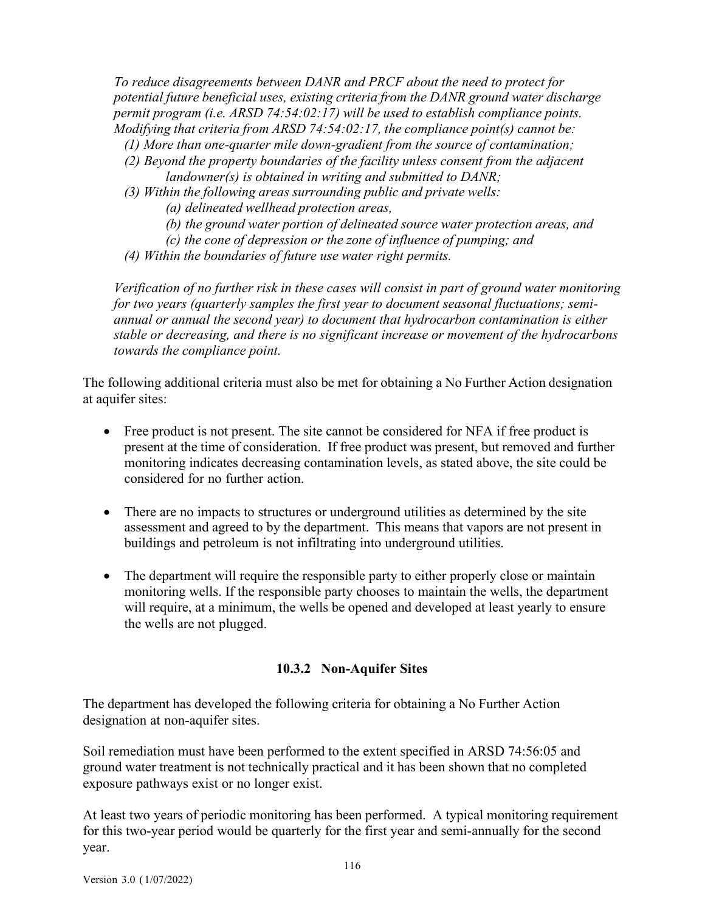*To reduce disagreements between DANR and PRCF about the need to protect for potential future beneficial uses, existing criteria from the DANR ground water discharge permit program (i.e. ARSD 74:54:02:17) will be used to establish compliance points. Modifying that criteria from ARSD 74:54:02:17, the compliance point(s) cannot be:*

- *(1) More than one-quarter mile down-gradient from the source of contamination;*
- *(2) Beyond the property boundaries of the facility unless consent from the adjacent landowner(s) is obtained in writing and submitted to DANR;*
- *(3) Within the following areas surrounding public and private wells:*
	- *(a) delineated wellhead protection areas,*
	- *(b) the ground water portion of delineated source water protection areas, and*
	- *(c) the cone of depression or the zone of influence of pumping; and*
- *(4) Within the boundaries of future use water right permits.*

*Verification of no further risk in these cases will consist in part of ground water monitoring for two years (quarterly samples the first year to document seasonal fluctuations; semiannual or annual the second year) to document that hydrocarbon contamination is either stable or decreasing, and there is no significant increase or movement of the hydrocarbons towards the compliance point.*

The following additional criteria must also be met for obtaining a No Further Action designation at aquifer sites:

- Free product is not present. The site cannot be considered for NFA if free product is present at the time of consideration. If free product was present, but removed and further monitoring indicates decreasing contamination levels, as stated above, the site could be considered for no further action.
- There are no impacts to structures or underground utilities as determined by the site assessment and agreed to by the department. This means that vapors are not present in buildings and petroleum is not infiltrating into underground utilities.
- The department will require the responsible party to either properly close or maintain monitoring wells. If the responsible party chooses to maintain the wells, the department will require, at a minimum, the wells be opened and developed at least yearly to ensure the wells are not plugged.

# **10.3.2 Non-Aquifer Sites**

The department has developed the following criteria for obtaining a No Further Action designation at non-aquifer sites.

Soil remediation must have been performed to the extent specified in ARSD 74:56:05 and ground water treatment is not technically practical and it has been shown that no completed exposure pathways exist or no longer exist.

At least two years of periodic monitoring has been performed. A typical monitoring requirement for this two-year period would be quarterly for the first year and semi-annually for the second year.